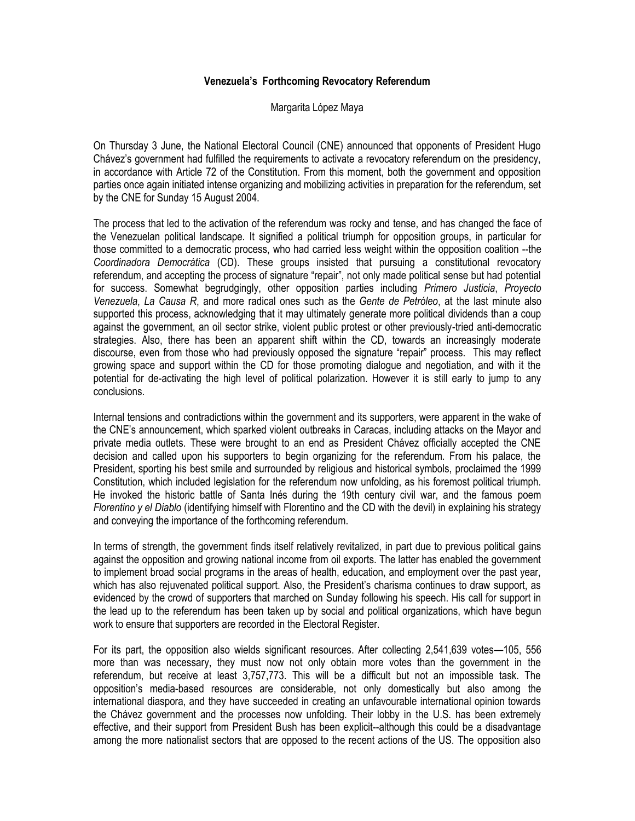## **Venezuela's Forthcoming Revocatory Referendum**

Margarita López Maya

On Thursday 3 June, the National Electoral Council (CNE) announced that opponents of President Hugo Chávez's government had fulfilled the requirements to activate a revocatory referendum on the presidency, in accordance with Article 72 of the Constitution. From this moment, both the government and opposition parties once again initiated intense organizing and mobilizing activities in preparation for the referendum, set by the CNE for Sunday 15 August 2004.

The process that led to the activation of the referendum was rocky and tense, and has changed the face of the Venezuelan political landscape. It signified a political triumph for opposition groups, in particular for those committed to a democratic process, who had carried less weight within the opposition coalition --the *Coordinadora Democrática* (CD). These groups insisted that pursuing a constitutional revocatory referendum, and accepting the process of signature "repair", not only made political sense but had potential for success. Somewhat begrudgingly, other opposition parties including *Primero Justicia*, *Proyecto Venezuela*, *La Causa R*, and more radical ones such as the *Gente de Petróleo*, at the last minute also supported this process, acknowledging that it may ultimately generate more political dividends than a coup against the government, an oil sector strike, violent public protest or other previously-tried anti-democratic strategies. Also, there has been an apparent shift within the CD, towards an increasingly moderate discourse, even from those who had previously opposed the signature "repair" process. This may reflect growing space and support within the CD for those promoting dialogue and negotiation, and with it the potential for de-activating the high level of political polarization. However it is still early to jump to any conclusions.

Internal tensions and contradictions within the government and its supporters, were apparent in the wake of the CNE's announcement, which sparked violent outbreaks in Caracas, including attacks on the Mayor and private media outlets. These were brought to an end as President Chávez officially accepted the CNE decision and called upon his supporters to begin organizing for the referendum. From his palace, the President, sporting his best smile and surrounded by religious and historical symbols, proclaimed the 1999 Constitution, which included legislation for the referendum now unfolding, as his foremost political triumph. He invoked the historic battle of Santa Inés during the 19th century civil war, and the famous poem *Florentino y el Diablo* (identifying himself with Florentino and the CD with the devil) in explaining his strategy and conveying the importance of the forthcoming referendum.

In terms of strength, the government finds itself relatively revitalized, in part due to previous political gains against the opposition and growing national income from oil exports. The latter has enabled the government to implement broad social programs in the areas of health, education, and employment over the past year, which has also rejuvenated political support. Also, the President's charisma continues to draw support, as evidenced by the crowd of supporters that marched on Sunday following his speech. His call for support in the lead up to the referendum has been taken up by social and political organizations, which have begun work to ensure that supporters are recorded in the Electoral Register.

For its part, the opposition also wields significant resources. After collecting 2,541,639 votes—105, 556 more than was necessary, they must now not only obtain more votes than the government in the referendum, but receive at least 3,757,773. This will be a difficult but not an impossible task. The opposition's media-based resources are considerable, not only domestically but also among the international diaspora, and they have succeeded in creating an unfavourable international opinion towards the Chávez government and the processes now unfolding. Their lobby in the U.S. has been extremely effective, and their support from President Bush has been explicit--although this could be a disadvantage among the more nationalist sectors that are opposed to the recent actions of the US. The opposition also